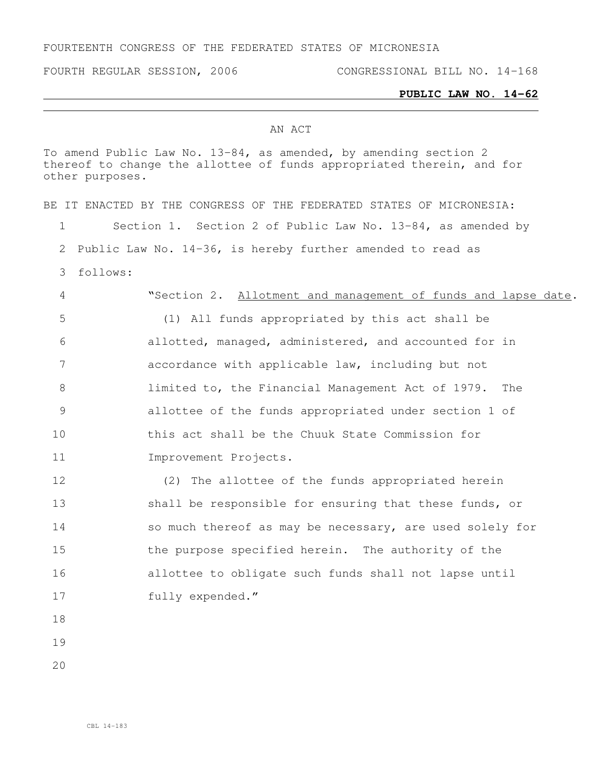## FOURTEENTH CONGRESS OF THE FEDERATED STATES OF MICRONESIA

FOURTH REGULAR SESSION, 2006 CONGRESSIONAL BILL NO. 14-168

### **PUBLIC LAW NO. 14-62**

### AN ACT

To amend Public Law No. 13-84, as amended, by amending section 2 thereof to change the allottee of funds appropriated therein, and for other purposes.

BE IT ENACTED BY THE CONGRESS OF THE FEDERATED STATES OF MICRONESIA: 1 Section 1. Section 2 of Public Law No. 13-84, as amended by 2 Public Law No. 14-36, is hereby further amended to read as 3 follows: 4 "Section 2. Allotment and management of funds and lapse date. 5 (1) All funds appropriated by this act shall be 6 allotted, managed, administered, and accounted for in 7 accordance with applicable law, including but not 8 limited to, the Financial Management Act of 1979. The 9 allottee of the funds appropriated under section 1 of 10 this act shall be the Chuuk State Commission for 11 Improvement Projects. 12 (2) The allottee of the funds appropriated herein 13 shall be responsible for ensuring that these funds, or 14 so much thereof as may be necessary, are used solely for 15 the purpose specified herein. The authority of the 16 allottee to obligate such funds shall not lapse until 17 fully expended." 18 19

 $20$